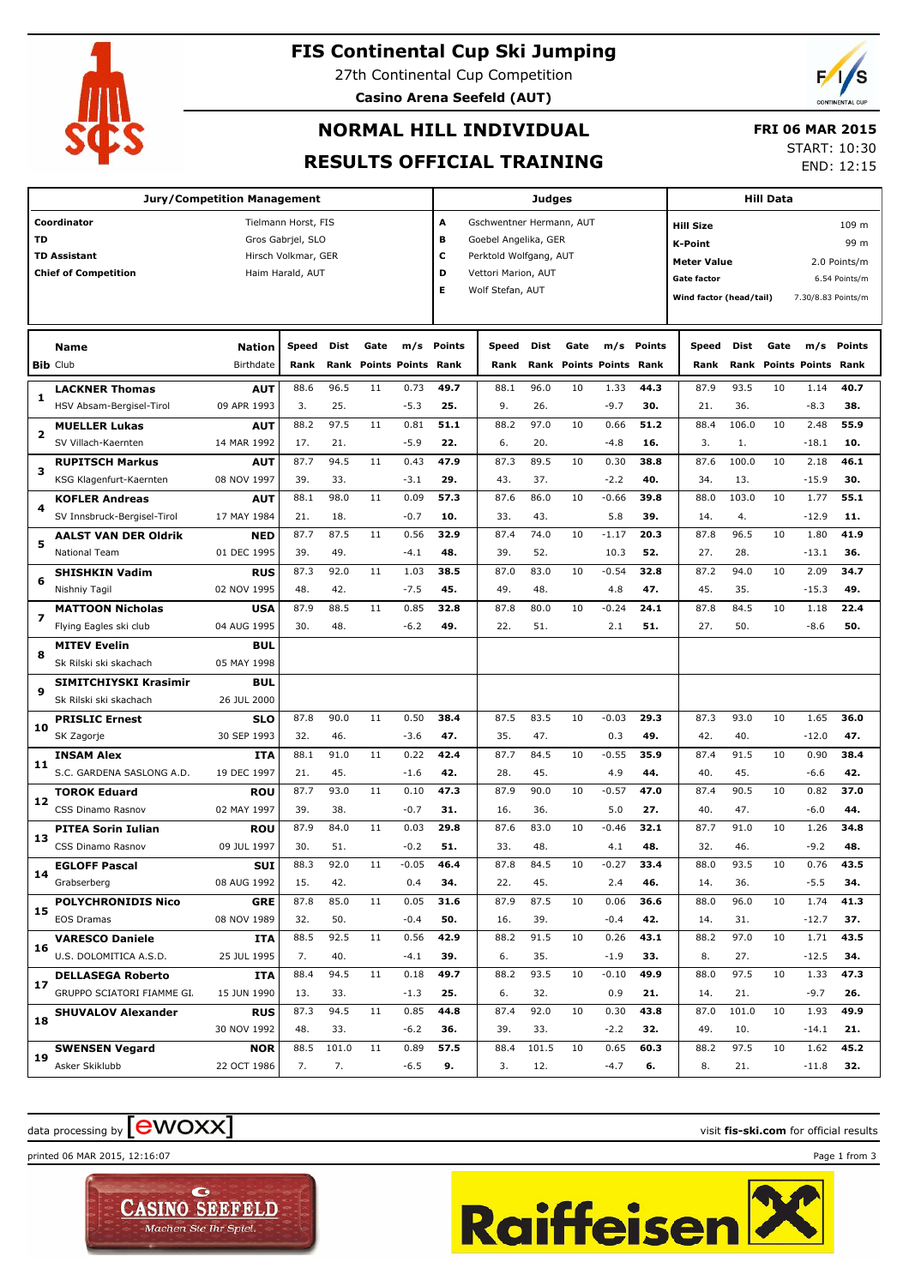### **FIS Continental Cup Ski Jumping**

27th Continental Cup Competition **Casino Arena Seefeld (AUT)**



## **NORMAL HILL INDIVIDUAL**

### **FRI 06 MAR 2015**

### **RESULTS OFFICIAL TRAINING**

START: 10:30

END: 12:15

| <b>Jury/Competition Management</b> |                                                        |                           |                     |             |        |                    | Judges        |                          |             |      |                           |             | <b>Hill Data</b>        |              |      |                      |               |  |
|------------------------------------|--------------------------------------------------------|---------------------------|---------------------|-------------|--------|--------------------|---------------|--------------------------|-------------|------|---------------------------|-------------|-------------------------|--------------|------|----------------------|---------------|--|
|                                    | Coordinator                                            |                           | Tielmann Horst, FIS |             |        |                    | А             | Gschwentner Hermann, AUT |             |      |                           |             | <b>Hill Size</b>        |              |      |                      | 109 m         |  |
| TD                                 |                                                        |                           | Gros Gabrjel, SLO   |             |        |                    | в             | Goebel Angelika, GER     |             |      |                           |             | <b>K-Point</b>          |              |      |                      | 99 m          |  |
|                                    | <b>TD Assistant</b>                                    |                           | Hirsch Volkmar, GER |             |        |                    | c             | Perktold Wolfgang, AUT   |             |      |                           |             | <b>Meter Value</b>      |              |      |                      | 2.0 Points/m  |  |
|                                    | <b>Chief of Competition</b>                            |                           | Haim Harald, AUT    |             |        |                    | D             | Vettori Marion, AUT      |             |      |                           |             | <b>Gate factor</b>      |              |      |                      | 6.54 Points/m |  |
|                                    |                                                        |                           |                     |             |        |                    | Е             | Wolf Stefan, AUT         |             |      |                           |             | Wind factor (head/tail) |              |      | 7.30/8.83 Points/m   |               |  |
|                                    |                                                        |                           |                     |             |        |                    |               |                          |             |      |                           |             |                         |              |      |                      |               |  |
|                                    | Name                                                   | <b>Nation</b>             | Speed               | Dist        | Gate   | m/s                | <b>Points</b> | Speed                    | Dist        | Gate | m/s                       | Points      | Speed                   | Dist         | Gate | m/s                  | Points        |  |
|                                    | <b>Bib Club</b>                                        | Birthdate                 | Rank                | Rank        | Points | <b>Points Rank</b> |               | Rank                     | Rank        |      | <b>Points Points Rank</b> |             | Rank                    | Rank         |      | <b>Points Points</b> | Rank          |  |
| 1                                  | <b>LACKNER Thomas</b>                                  | <b>AUT</b>                | 88.6                | 96.5        | 11     | 0.73               | 49.7          | 88.1                     | 96.0        | 10   | 1.33                      | 44.3        | 87.9                    | 93.5         | 10   | 1.14                 | 40.7          |  |
|                                    | HSV Absam-Bergisel-Tirol                               | 09 APR 1993               | 3.                  | 25.         |        | $-5.3$             | 25.           | 9.                       | 26.         |      | $-9.7$                    | 30.         | 21.                     | 36.          |      | $-8.3$               | 38.           |  |
| 2                                  | <b>MUELLER Lukas</b>                                   | <b>AUT</b>                | 88.2                | 97.5        | 11     | 0.81               | 51.1          | 88.2                     | 97.0        | 10   | 0.66                      | 51.2        | 88.4                    | 106.0        | 10   | 2.48                 | 55.9          |  |
|                                    | SV Villach-Kaernten                                    | 14 MAR 1992               | 17.                 | 21.         |        | $-5.9$             | 22.           | 6.                       | 20.         |      | $-4.8$                    | 16.         | 3.                      | 1.           |      | $-18.1$              | 10.           |  |
| з                                  | <b>RUPITSCH Markus</b>                                 | <b>AUT</b>                | 87.7                | 94.5        | 11     | 0.43               | 47.9          | 87.3                     | 89.5        | 10   | 0.30                      | 38.8        | 87.6                    | 100.0        | 10   | 2.18                 | 46.1          |  |
|                                    | KSG Klagenfurt-Kaernten                                | 08 NOV 1997               | 39.                 | 33.         |        | $-3.1$             | 29.           | 43.                      | 37.         |      | $-2.2$                    | 40.         | 34.                     | 13.          |      | $-15.9$              | 30.           |  |
| 4                                  | <b>KOFLER Andreas</b>                                  | <b>AUT</b>                | 88.1                | 98.0        | 11     | 0.09               | 57.3          | 87.6                     | 86.0        | 10   | $-0.66$                   | 39.8        | 88.0                    | 103.0        | 10   | 1.77                 | 55.1          |  |
|                                    | SV Innsbruck-Bergisel-Tirol                            | 17 MAY 1984               | 21.                 | 18.         |        | $-0.7$             | 10.           | 33.                      | 43.         |      | 5.8                       | 39.         | 14.                     | 4.           |      | $-12.9$              | 11.           |  |
| 5                                  | <b>AALST VAN DER Oldrik</b>                            | <b>NED</b>                | 87.7                | 87.5        | 11     | 0.56               | 32.9          | 87.4                     | 74.0        | 10   | $-1.17$                   | 20.3        | 87.8                    | 96.5         | 10   | 1.80                 | 41.9          |  |
|                                    | <b>National Team</b>                                   | 01 DEC 1995               | 39.                 | 49.         |        | $-4.1$             | 48.           | 39.                      | 52.         |      | 10.3                      | 52.         | 27.                     | 28.          |      | $-13.1$              | 36.           |  |
| 6                                  | <b>SHISHKIN Vadim</b>                                  | <b>RUS</b>                | 87.3                | 92.0        | 11     | 1.03               | 38.5          | 87.0                     | 83.0        | 10   | $-0.54$                   | 32.8        | 87.2                    | 94.0         | 10   | 2.09                 | 34.7          |  |
|                                    | Nishniy Tagil                                          | 02 NOV 1995               | 48.                 | 42.         |        | $-7.5$             | 45.           | 49.                      | 48.         |      | 4.8                       | 47.         | 45.                     | 35.          |      | $-15.3$              | 49.           |  |
| $\overline{\phantom{a}}$           | <b>MATTOON Nicholas</b>                                | <b>USA</b>                | 87.9                | 88.5        | 11     | 0.85               | 32.8          | 87.8                     | 80.0        | 10   | $-0.24$                   | 24.1        | 87.8                    | 84.5         | 10   | 1.18                 | 22.4          |  |
|                                    | Flying Eagles ski club                                 | 04 AUG 1995               | 30.                 | 48.         |        | $-6.2$             | 49.           | 22.                      | 51.         |      | 2.1                       | 51.         | 27.                     | 50.          |      | $-8.6$               | 50.           |  |
| 8                                  | <b>MITEV Evelin</b>                                    | <b>BUL</b>                |                     |             |        |                    |               |                          |             |      |                           |             |                         |              |      |                      |               |  |
|                                    | Sk Rilski ski skachach                                 | 05 MAY 1998               |                     |             |        |                    |               |                          |             |      |                           |             |                         |              |      |                      |               |  |
| 9                                  | SIMITCHIYSKI Krasimir                                  | <b>BUL</b>                |                     |             |        |                    |               |                          |             |      |                           |             |                         |              |      |                      |               |  |
|                                    | Sk Rilski ski skachach                                 | 26 JUL 2000               |                     |             |        |                    |               |                          |             |      |                           |             |                         |              |      |                      |               |  |
| 10                                 | <b>PRISLIC Ernest</b>                                  | <b>SLO</b>                | 87.8                | 90.0        | 11     | 0.50               | 38.4          | 87.5                     | 83.5        | 10   | $-0.03$                   | 29.3        | 87.3                    | 93.0         | 10   | 1.65                 | 36.0          |  |
|                                    | SK Zagorje                                             | 30 SEP 1993               | 32.                 | 46.         |        | $-3.6$             | 47.           | 35.                      | 47.         |      | 0.3                       | 49.         | 42.                     | 40.          |      | $-12.0$              | 47.           |  |
| 11                                 | <b>INSAM Alex</b>                                      | <b>ITA</b>                | 88.1                | 91.0        | 11     | 0.22               | 42.4          | 87.7                     | 84.5        | 10   | $-0.55$                   | 35.9        | 87.4                    | 91.5         | 10   | 0.90                 | 38.4          |  |
|                                    | S.C. GARDENA SASLONG A.D.                              | 19 DEC 1997               | 21.                 | 45.         |        | $-1.6$             | 42.           | 28.                      | 45.         |      | 4.9                       | 44.         | 40.                     | 45.          |      | $-6.6$               | 42.           |  |
| 12                                 | <b>TOROK Eduard</b>                                    | <b>ROU</b>                | 87.7                | 93.0        | 11     | 0.10               | 47.3          | 87.9                     | 90.0        | 10   | $-0.57$                   | 47.0        | 87.4                    | 90.5         | 10   | 0.82                 | 37.0          |  |
|                                    | CSS Dinamo Rasnov                                      | 02 MAY 1997               | 39.                 | 38.         |        | $-0.7$             | 31.           | 16.                      | 36.         |      | 5.0                       | 27.         | 40.                     | 47.          |      | $-6.0$               | 44.           |  |
| 13                                 | PITEA Sorin Iulian                                     | <b>ROU</b><br>09 JUL 1997 | 87.9                | 84.0        | 11     | 0.03               | 29.8          | 87.6                     | 83.0        | 10   | $-0.46$                   | 32.1        | 87.7                    | 91.0         | 10   | 1.26                 | 34.8          |  |
|                                    | CSS Dinamo Rasnov                                      |                           | 30.<br>88.3         | 51.<br>92.0 | 11     | $-0.2$<br>$-0.05$  | 51.<br>46.4   | 33.<br>87.8              | 48.<br>84.5 | 10   | 4.1<br>$-0.27$            | 48.<br>33.4 | 32.<br>88.0             | 46.<br>93.5  | 10   | $-9.2$<br>0.76       | 48.<br>43.5   |  |
| 14                                 | <b>EGLOFF Pascal</b><br>Grabserberg                    | <b>SUI</b><br>08 AUG 1992 |                     |             |        |                    |               |                          | 45.         |      |                           |             |                         |              |      |                      |               |  |
|                                    |                                                        |                           | 15.<br>87.8         | 42.<br>85.0 | 11     | 0.4<br>0.05        | 34.<br>31.6   | 22.                      | 87.5        | 10   | 2.4<br>0.06               | 46.<br>36.6 | 14.<br>88.0             | 36.<br>96.0  | 10   | $-5.5$<br>1.74       | 34.<br>41.3   |  |
| 15                                 | <b>POLYCHRONIDIS Nico</b><br>EOS Dramas                | <b>GRE</b><br>08 NOV 1989 | 32.                 | 50.         |        | $-0.4$             | 50.           | 87.9                     |             |      | $-0.4$                    | 42.         | 14.                     |              |      | $-12.7$              | 37.           |  |
|                                    |                                                        |                           |                     |             |        |                    |               | 16.                      | 39.         |      |                           |             |                         | 31.          |      |                      |               |  |
| 16                                 | <b>VARESCO Daniele</b><br>U.S. DOLOMITICA A.S.D.       | ITA<br>25 JUL 1995        | 88.5<br>7.          | 92.5<br>40. | 11     | 0.56               | 42.9<br>39.   | 88.2<br>6.               | 91.5        | 10   | 0.26<br>$-1.9$            | 43.1<br>33. | 88.2<br>8.              | 97.0         | 10   | 1.71<br>$-12.5$      | 43.5<br>34.   |  |
|                                    |                                                        |                           | 88.4                | 94.5        | 11     | $-4.1$<br>0.18     | 49.7          | 88.2                     | 35.<br>93.5 | 10   | $-0.10$                   | 49.9        | 88.0                    | 27.<br>97.5  | 10   | 1.33                 | 47.3          |  |
| 17                                 | <b>DELLASEGA Roberto</b><br>GRUPPO SCIATORI FIAMME GI. | ITA<br>15 JUN 1990        | 13.                 | 33.         |        | $-1.3$             | 25.           | 6.                       | 32.         |      | 0.9                       | 21.         | 14.                     |              |      | $-9.7$               | 26.           |  |
|                                    | <b>SHUVALOV Alexander</b>                              | <b>RUS</b>                | 87.3                | 94.5        | 11     | 0.85               | 44.8          | 87.4                     | 92.0        | 10   | 0.30                      | 43.8        | 87.0                    | 21.<br>101.0 | 10   | 1.93                 | 49.9          |  |
| 18                                 |                                                        | 30 NOV 1992               | 48.                 | 33.         |        | $-6.2$             | 36.           | 39.                      | 33.         |      | $-2.2$                    | 32.         | 49.                     | 10.          |      | $-14.1$              | 21.           |  |
|                                    | <b>SWENSEN Vegard</b>                                  | <b>NOR</b>                | 88.5                | 101.0       | 11     | 0.89               | 57.5          | 88.4                     | 101.5       | 10   | 0.65                      | 60.3        | 88.2                    | 97.5         | 10   | 1.62                 | 45.2          |  |
| 19                                 | Asker Skiklubb                                         | 22 OCT 1986               | 7.                  | 7.          |        | $-6.5$             | 9.            | 3.                       | 12.         |      | $-4.7$                    | 6.          | 8.                      | 21.          |      | $-11.8$              | 32.           |  |
|                                    |                                                        |                           |                     |             |        |                    |               |                          |             |      |                           |             |                         |              |      |                      |               |  |

## data processing by **CWOXX**  $\blacksquare$

printed 06 MAR 2015, 12:16:07 Page 1 from 3



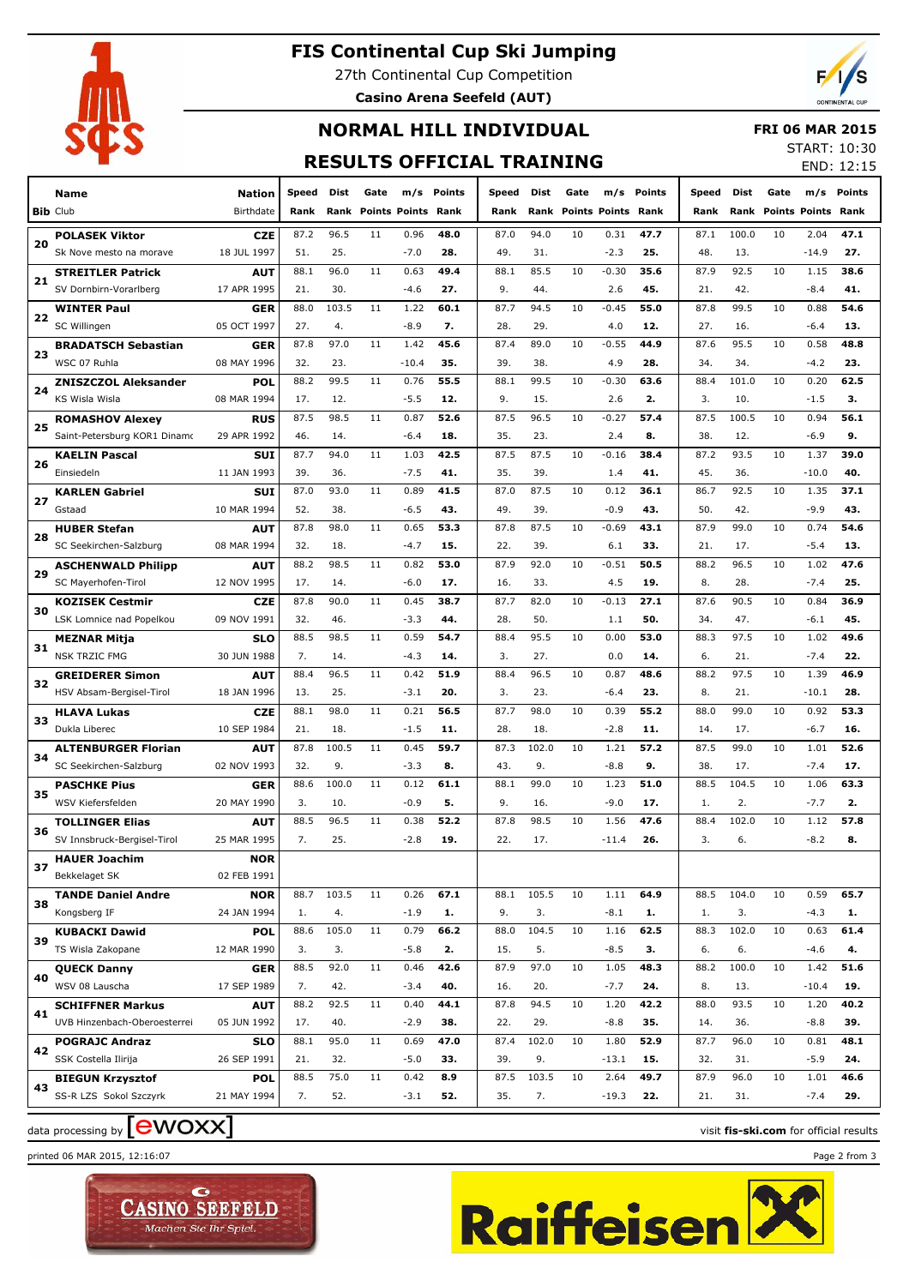

### **FIS Continental Cup Ski Jumping**

27th Continental Cup Competition **Casino Arena Seefeld (AUT)**



# **NORMAL HILL INDIVIDUAL**

 **FRI 06 MAR 2015**

### **RESULTS OFFICIAL TRAINING**

START: 10:30 END: 12:15

|    |                              |               |       |       |      |                           |        |       |       |      |                           |        |       |       |                      |         | ㄴ!◥◡ ±∠.±◡ |
|----|------------------------------|---------------|-------|-------|------|---------------------------|--------|-------|-------|------|---------------------------|--------|-------|-------|----------------------|---------|------------|
|    | Name                         | <b>Nation</b> | Speed | Dist  | Gate | m/s                       | Points | Speed | Dist  | Gate | m/s                       | Points | Speed | Dist  | Gate                 | m/s     | Points     |
|    | <b>Bib Club</b>              | Birthdate     | Rank  | Rank  |      | <b>Points Points Rank</b> |        | Rank  | Rank  |      | <b>Points Points Rank</b> |        | Rank  | Rank  | <b>Points Points</b> |         | Rank       |
|    | <b>POLASEK Viktor</b>        | <b>CZE</b>    | 87.2  | 96.5  | 11   | 0.96                      | 48.0   | 87.0  | 94.0  | 10   | 0.31                      | 47.7   | 87.1  | 100.0 | 10                   | 2.04    | 47.1       |
| 20 | Sk Nove mesto na morave      | 18 JUL 1997   | 51.   | 25.   |      | $-7.0$                    | 28.    | 49.   | 31.   |      | $-2.3$                    | 25.    | 48.   | 13.   |                      | $-14.9$ | 27.        |
|    | <b>STREITLER Patrick</b>     | <b>AUT</b>    | 88.1  | 96.0  | 11   | 0.63                      | 49.4   | 88.1  | 85.5  | 10   | $-0.30$                   | 35.6   | 87.9  | 92.5  | 10                   | 1.15    | 38.6       |
| 21 | SV Dornbirn-Vorarlberg       | 17 APR 1995   | 21.   | 30.   |      | $-4.6$                    | 27.    | 9.    | 44.   |      | 2.6                       | 45.    | 21.   | 42.   |                      | $-8.4$  | 41.        |
|    | <b>WINTER Paul</b>           | GER           | 88.0  | 103.5 | 11   | 1.22                      | 60.1   | 87.7  | 94.5  | 10   | $-0.45$                   | 55.0   | 87.8  | 99.5  | 10                   | 0.88    | 54.6       |
| 22 | SC Willingen                 | 05 OCT 1997   | 27.   | 4.    |      | $-8.9$                    | 7.     | 28.   | 29.   |      | 4.0                       | 12.    | 27.   | 16.   |                      | $-6.4$  | 13.        |
| 23 | <b>BRADATSCH Sebastian</b>   | <b>GER</b>    | 87.8  | 97.0  | 11   | 1.42                      | 45.6   | 87.4  | 89.0  | 10   | $-0.55$                   | 44.9   | 87.6  | 95.5  | 10                   | 0.58    | 48.8       |
|    | WSC 07 Ruhla                 | 08 MAY 1996   | 32.   | 23.   |      | $-10.4$                   | 35.    | 39.   | 38.   |      | 4.9                       | 28.    | 34.   | 34.   |                      | $-4.2$  | 23.        |
| 24 | <b>ZNISZCZOL Aleksander</b>  | POL           | 88.2  | 99.5  | 11   | 0.76                      | 55.5   | 88.1  | 99.5  | 10   | $-0.30$                   | 63.6   | 88.4  | 101.0 | 10                   | 0.20    | 62.5       |
|    | KS Wisla Wisla               | 08 MAR 1994   | 17.   | 12.   |      | $-5.5$                    | 12.    | 9.    | 15.   |      | 2.6                       | 2.     | 3.    | 10.   |                      | $-1.5$  | з.         |
| 25 | <b>ROMASHOV Alexey</b>       | <b>RUS</b>    | 87.5  | 98.5  | 11   | 0.87                      | 52.6   | 87.5  | 96.5  | 10   | $-0.27$                   | 57.4   | 87.5  | 100.5 | 10                   | 0.94    | 56.1       |
|    | Saint-Petersburg KOR1 Dinamo | 29 APR 1992   | 46.   | 14.   |      | $-6.4$                    | 18.    | 35.   | 23.   |      | 2.4                       | 8.     | 38.   | 12.   |                      | $-6.9$  | 9.         |
| 26 | <b>KAELIN Pascal</b>         | <b>SUI</b>    | 87.7  | 94.0  | 11   | 1.03                      | 42.5   | 87.5  | 87.5  | 10   | $-0.16$                   | 38.4   | 87.2  | 93.5  | 10                   | 1.37    | 39.0       |
|    | Einsiedeln                   | 11 JAN 1993   | 39.   | 36.   |      | $-7.5$                    | 41.    | 35.   | 39.   |      | 1.4                       | 41.    | 45.   | 36.   |                      | $-10.0$ | 40.        |
| 27 | <b>KARLEN Gabriel</b>        | <b>SUI</b>    | 87.0  | 93.0  | 11   | 0.89                      | 41.5   | 87.0  | 87.5  | 10   | 0.12                      | 36.1   | 86.7  | 92.5  | 10                   | 1.35    | 37.1       |
|    | Gstaad                       | 10 MAR 1994   | 52.   | 38.   |      | $-6.5$                    | 43.    | 49.   | 39.   |      | $-0.9$                    | 43.    | 50.   | 42.   |                      | $-9.9$  | 43.        |
| 28 | <b>HUBER Stefan</b>          | <b>AUT</b>    | 87.8  | 98.0  | 11   | 0.65                      | 53.3   | 87.8  | 87.5  | 10   | $-0.69$                   | 43.1   | 87.9  | 99.0  | 10                   | 0.74    | 54.6       |
|    | SC Seekirchen-Salzburg       | 08 MAR 1994   | 32.   | 18.   |      | $-4.7$                    | 15.    | 22.   | 39.   |      | 6.1                       | 33.    | 21.   | 17.   |                      | $-5.4$  | 13.        |
| 29 | <b>ASCHENWALD Philipp</b>    | AUT           | 88.2  | 98.5  | 11   | 0.82                      | 53.0   | 87.9  | 92.0  | 10   | $-0.51$                   | 50.5   | 88.2  | 96.5  | 10                   | 1.02    | 47.6       |
|    | SC Mayerhofen-Tirol          | 12 NOV 1995   | 17.   | 14.   |      | $-6.0$                    | 17.    | 16.   | 33.   |      | 4.5                       | 19.    | 8.    | 28.   |                      | $-7.4$  | 25.        |
|    | <b>KOZISEK Cestmir</b>       | <b>CZE</b>    | 87.8  | 90.0  | 11   | 0.45                      | 38.7   | 87.7  | 82.0  | 10   | $-0.13$                   | 27.1   | 87.6  | 90.5  | 10                   | 0.84    | 36.9       |
| 30 | LSK Lomnice nad Popelkou     | 09 NOV 1991   | 32.   | 46.   |      | $-3.3$                    | 44.    | 28.   | 50.   |      | 1.1                       | 50.    | 34.   | 47.   |                      | $-6.1$  | 45.        |
|    | <b>MEZNAR Mitja</b>          | <b>SLO</b>    | 88.5  | 98.5  | 11   | 0.59                      | 54.7   | 88.4  | 95.5  | 10   | 0.00                      | 53.0   | 88.3  | 97.5  | 10                   | 1.02    | 49.6       |
| 31 | <b>NSK TRZIC FMG</b>         | 30 JUN 1988   | 7.    | 14.   |      | $-4.3$                    | 14.    | 3.    | 27.   |      | 0.0                       | 14.    | 6.    | 21.   |                      | $-7.4$  | 22.        |
|    | <b>GREIDERER Simon</b>       | AUT           | 88.4  | 96.5  | 11   | 0.42                      | 51.9   | 88.4  | 96.5  | 10   | 0.87                      | 48.6   | 88.2  | 97.5  | 10                   | 1.39    | 46.9       |
| 32 | HSV Absam-Bergisel-Tirol     | 18 JAN 1996   | 13.   | 25.   |      | $-3.1$                    | 20.    | 3.    | 23.   |      | $-6.4$                    | 23.    | 8.    | 21.   |                      | $-10.1$ | 28.        |
|    | <b>HLAVA Lukas</b>           | <b>CZE</b>    | 88.1  | 98.0  | 11   | 0.21                      | 56.5   | 87.7  | 98.0  | 10   | 0.39                      | 55.2   | 88.0  | 99.0  | 10                   | 0.92    | 53.3       |
| 33 | Dukla Liberec                | 10 SEP 1984   | 21.   | 18.   |      | $-1.5$                    | 11.    | 28.   | 18.   |      | $-2.8$                    | 11.    | 14.   | 17.   |                      | $-6.7$  | 16.        |
|    | <b>ALTENBURGER Florian</b>   | AUT           | 87.8  | 100.5 | 11   | 0.45                      | 59.7   | 87.3  | 102.0 | 10   | 1.21                      | 57.2   | 87.5  | 99.0  | 10                   | 1.01    | 52.6       |
| 34 | SC Seekirchen-Salzburg       | 02 NOV 1993   | 32.   | 9.    |      | $-3.3$                    | 8.     | 43.   | 9.    |      | $-8.8$                    | 9.     | 38.   | 17.   |                      | $-7.4$  | 17.        |
|    | <b>PASCHKE Pius</b>          | <b>GER</b>    | 88.6  | 100.0 | 11   | 0.12                      | 61.1   | 88.1  | 99.0  | 10   | 1.23                      | 51.0   | 88.5  | 104.5 | 10                   | 1.06    | 63.3       |
| 35 | WSV Kiefersfelden            | 20 MAY 1990   | 3.    | 10.   |      | $-0.9$                    | 5.     | 9.    | 16.   |      | $-9.0$                    | 17.    | 1.    | 2.    |                      | $-7.7$  | 2.         |
|    | <b>TOLLINGER Elias</b>       | AUT           | 88.5  | 96.5  | 11   | 0.38                      | 52.2   | 87.8  | 98.5  | 10   | 1.56                      | 47.6   | 88.4  | 102.0 | 10                   | 1.12    | 57.8       |
| 36 | SV Innsbruck-Bergisel-Tirol  | 25 MAR 1995   | 7.    | 25.   |      | $-2.8$                    | 19.    | 22.   | 17.   |      | $-11.4$                   | 26.    | 3.    | 6.    |                      | $-8.2$  | 8.         |
| 37 | <b>HAUER Joachim</b>         | <b>NOR</b>    |       |       |      |                           |        |       |       |      |                           |        |       |       |                      |         |            |
|    | Bekkelaget SK                | 02 FEB 1991   |       |       |      |                           |        |       |       |      |                           |        |       |       |                      |         |            |
| 38 | <b>TANDE Daniel Andre</b>    | <b>NOR</b>    | 88.7  | 103.5 | 11   | 0.26                      | 67.1   | 88.1  | 105.5 | 10   | 1.11                      | 64.9   | 88.5  | 104.0 | 10                   | 0.59    | 65.7       |
|    | Kongsberg IF                 | 24 JAN 1994   | 1.    | 4.    |      | $-1.9$                    | 1.     | 9.    | 3.    |      | $-8.1$                    | 1.     | 1.    | 3.    |                      | $-4.3$  | 1.         |
| 39 | <b>KUBACKI Dawid</b>         | <b>POL</b>    | 88.6  | 105.0 | 11   | 0.79                      | 66.2   | 88.0  | 104.5 | 10   | 1.16                      | 62.5   | 88.3  | 102.0 | 10                   | 0.63    | 61.4       |
|    | TS Wisla Zakopane            | 12 MAR 1990   | 3.    | 3.    |      | $-5.8$                    | 2.     | 15.   | 5.    |      | $-8.5$                    | з.     | 6.    | 6.    |                      | $-4.6$  | 4.         |
|    | <b>QUECK Danny</b>           | <b>GER</b>    | 88.5  | 92.0  | 11   | 0.46                      | 42.6   | 87.9  | 97.0  | 10   | 1.05                      | 48.3   | 88.2  | 100.0 | 10                   | 1.42    | 51.6       |
| 40 | WSV 08 Lauscha               | 17 SEP 1989   | 7.    | 42.   |      | $-3.4$                    | 40.    | 16.   | 20.   |      | $-7.7$                    | 24.    | 8.    | 13.   |                      | $-10.4$ | 19.        |
|    | <b>SCHIFFNER Markus</b>      | <b>AUT</b>    | 88.2  | 92.5  | 11   | 0.40                      | 44.1   | 87.8  | 94.5  | 10   | 1.20                      | 42.2   | 88.0  | 93.5  | 10                   | 1.20    | 40.2       |
| 41 | UVB Hinzenbach-Oberoesterrei | 05 JUN 1992   | 17.   | 40.   |      | $-2.9$                    | 38.    | 22.   | 29.   |      | $-8.8$                    | 35.    | 14.   | 36.   |                      | $-8.8$  | 39.        |
|    | <b>POGRAJC Andraz</b>        | SLO           | 88.1  | 95.0  | 11   | 0.69                      | 47.0   | 87.4  | 102.0 | 10   | 1.80                      | 52.9   | 87.7  | 96.0  | 10                   | 0.81    | 48.1       |
| 42 | SSK Costella Ilirija         | 26 SEP 1991   | 21.   | 32.   |      | $-5.0$                    | 33.    | 39.   | 9.    |      | $-13.1$                   | 15.    | 32.   | 31.   |                      | $-5.9$  | 24.        |
|    | <b>BIEGUN Krzysztof</b>      | <b>POL</b>    | 88.5  | 75.0  | 11   | 0.42                      | 8.9    | 87.5  | 103.5 | 10   | 2.64                      | 49.7   | 87.9  | 96.0  | 10                   | 1.01    | 46.6       |
| 43 | SS-R LZS Sokol Szczyrk       | 21 MAY 1994   | 7.    | 52.   |      | $-3.1$                    | 52.    | 35.   | 7.    |      | $-19.3$                   | 22.    | 21.   | 31.   |                      | $-7.4$  | 29.        |
|    |                              |               |       |       |      |                           |        |       |       |      |                           |        |       |       |                      |         |            |

data processing by **CWOXX** and  $\overline{A}$  and  $\overline{B}$  wisit **fis-ski.com** for official results